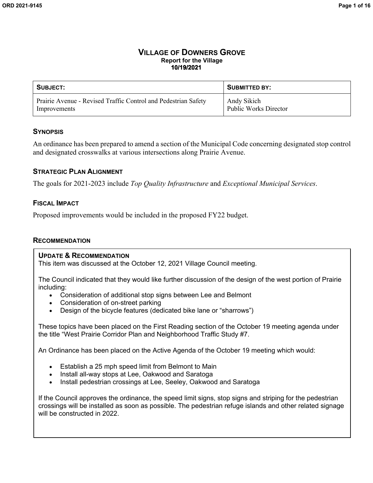#### **VILLAGE OF DOWNERS GROVE Report for the Village 10/19/2021**

| SUBJECT:                                                       | SUBMITTED BY:                      |
|----------------------------------------------------------------|------------------------------------|
| Prairie Avenue - Revised Traffic Control and Pedestrian Safety | Andy Sikich                        |
| Improvements                                                   | <sup>1</sup> Public Works Director |

#### **SYNOPSIS**

An ordinance has been prepared to amend a section of the Municipal Code concerning designated stop control and designated crosswalks at various intersections along Prairie Avenue.

#### **STRATEGIC PLAN ALIGNMENT**

The goals for 2021-2023 include *Top Quality Infrastructure* and *Exceptional Municipal Services*.

#### **FISCAL IMPACT**

Proposed improvements would be included in the proposed FY22 budget.

#### **RECOMMENDATION**

#### **UPDATE & RECOMMENDATION**

This item was discussed at the October 12, 2021 Village Council meeting.

The Council indicated that they would like further discussion of the design of the west portion of Prairie including:

- Consideration of additional stop signs between Lee and Belmont
- Consideration of on-street parking
- Design of the bicycle features (dedicated bike lane or "sharrows")

These topics have been placed on the First Reading section of the October 19 meeting agenda under the title "West Prairie Corridor Plan and Neighborhood Traffic Study #7.

An Ordinance has been placed on the Active Agenda of the October 19 meeting which would:

- Establish a 25 mph speed limit from Belmont to Main
- Install all-way stops at Lee, Oakwood and Saratoga
- Install pedestrian crossings at Lee, Seeley, Oakwood and Saratoga

If the Council approves the ordinance, the speed limit signs, stop signs and striping for the pedestrian crossings will be installed as soon as possible. The pedestrian refuge islands and other related signage will be constructed in 2022.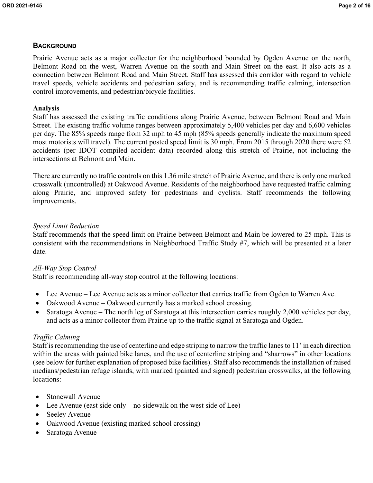# **BACKGROUND**

Prairie Avenue acts as a major collector for the neighborhood bounded by Ogden Avenue on the north, Belmont Road on the west, Warren Avenue on the south and Main Street on the east. It also acts as a connection between Belmont Road and Main Street. Staff has assessed this corridor with regard to vehicle travel speeds, vehicle accidents and pedestrian safety, and is recommending traffic calming, intersection control improvements, and pedestrian/bicycle facilities.

# **Analysis**

Staff has assessed the existing traffic conditions along Prairie Avenue, between Belmont Road and Main Street. The existing traffic volume ranges between approximately 5,400 vehicles per day and 6,600 vehicles per day. The 85% speeds range from 32 mph to 45 mph (85% speeds generally indicate the maximum speed most motorists will travel). The current posted speed limit is 30 mph. From 2015 through 2020 there were 52 accidents (per IDOT compiled accident data) recorded along this stretch of Prairie, not including the intersections at Belmont and Main.

There are currently no traffic controls on this 1.36 mile stretch of Prairie Avenue, and there is only one marked crosswalk (uncontrolled) at Oakwood Avenue. Residents of the neighborhood have requested traffic calming along Prairie, and improved safety for pedestrians and cyclists. Staff recommends the following improvements.

# *Speed Limit Reduction*

Staff recommends that the speed limit on Prairie between Belmont and Main be lowered to 25 mph. This is consistent with the recommendations in Neighborhood Traffic Study #7, which will be presented at a later date.

# *All-Way Stop Control*

Staff is recommending all-way stop control at the following locations:

- Lee Avenue Lee Avenue acts as a minor collector that carries traffic from Ogden to Warren Ave.
- Oakwood Avenue Oakwood currently has a marked school crossing.
- Saratoga Avenue The north leg of Saratoga at this intersection carries roughly 2,000 vehicles per day, and acts as a minor collector from Prairie up to the traffic signal at Saratoga and Ogden.

# *Traffic Calming*

Staff is recommending the use of centerline and edge striping to narrow the traffic lanes to 11' in each direction within the areas with painted bike lanes, and the use of centerline striping and "sharrows" in other locations (see below for further explanation of proposed bike facilities). Staff also recommends the installation of raised medians/pedestrian refuge islands, with marked (painted and signed) pedestrian crosswalks, at the following locations:

- Stonewall Avenue
- Lee Avenue (east side only no sidewalk on the west side of Lee)
- Seeley Avenue
- Oakwood Avenue (existing marked school crossing)
- Saratoga Avenue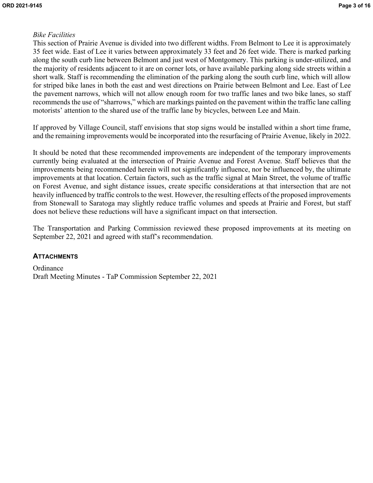# *Bike Facilities*

This section of Prairie Avenue is divided into two different widths. From Belmont to Lee it is approximately 35 feet wide. East of Lee it varies between approximately 33 feet and 26 feet wide. There is marked parking along the south curb line between Belmont and just west of Montgomery. This parking is under-utilized, and the majority of residents adjacent to it are on corner lots, or have available parking along side streets within a short walk. Staff is recommending the elimination of the parking along the south curb line, which will allow for striped bike lanes in both the east and west directions on Prairie between Belmont and Lee. East of Lee the pavement narrows, which will not allow enough room for two traffic lanes and two bike lanes, so staff recommends the use of "sharrows," which are markings painted on the pavement within the traffic lane calling motorists' attention to the shared use of the traffic lane by bicycles, between Lee and Main.

If approved by Village Council, staff envisions that stop signs would be installed within a short time frame, and the remaining improvements would be incorporated into the resurfacing of Prairie Avenue, likely in 2022.

It should be noted that these recommended improvements are independent of the temporary improvements currently being evaluated at the intersection of Prairie Avenue and Forest Avenue. Staff believes that the improvements being recommended herein will not significantly influence, nor be influenced by, the ultimate improvements at that location. Certain factors, such as the traffic signal at Main Street, the volume of traffic on Forest Avenue, and sight distance issues, create specific considerations at that intersection that are not heavily influenced by traffic controls to the west. However, the resulting effects of the proposed improvements from Stonewall to Saratoga may slightly reduce traffic volumes and speeds at Prairie and Forest, but staff does not believe these reductions will have a significant impact on that intersection.

The Transportation and Parking Commission reviewed these proposed improvements at its meeting on September 22, 2021 and agreed with staff's recommendation.

#### **ATTACHMENTS**

**Ordinance** Draft Meeting Minutes - TaP Commission September 22, 2021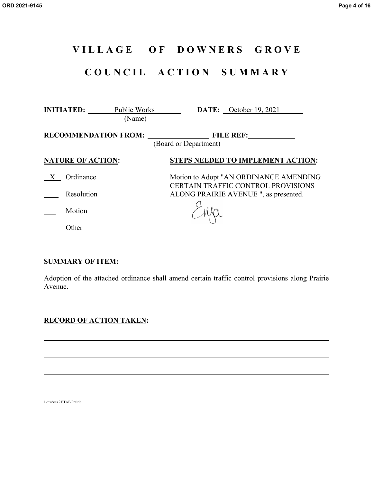# **V I L L A G E O F D O W N E R S G R O V E**

# **C O U N C I L A C T I O N S U M M A R Y**

| <b>INITIATED:</b>        | Public Works<br>(Name)         |                       | <b>DATE:</b> October 19, 2021                                                       |
|--------------------------|--------------------------------|-----------------------|-------------------------------------------------------------------------------------|
|                          | RECOMMENDATION FROM: FILE REF: | (Board or Department) |                                                                                     |
| <b>NATURE OF ACTION:</b> |                                |                       | <b>STEPS NEEDED TO IMPLEMENT ACTION:</b>                                            |
| Ordinance                |                                |                       | Motion to Adopt "AN ORDINANCE AMENDING<br><b>CERTAIN TRAFFIC CONTROL PROVISIONS</b> |
| Resolution               |                                |                       | ALONG PRAIRIE AVENUE ", as presented.                                               |
| Motion                   |                                |                       |                                                                                     |
| Other                    |                                |                       |                                                                                     |

#### **SUMMARY OF ITEM:**

Adoption of the attached ordinance shall amend certain traffic control provisions along Prairie Avenue.

# **RECORD OF ACTION TAKEN:**

1\mw\cas.21\TAP-Prairie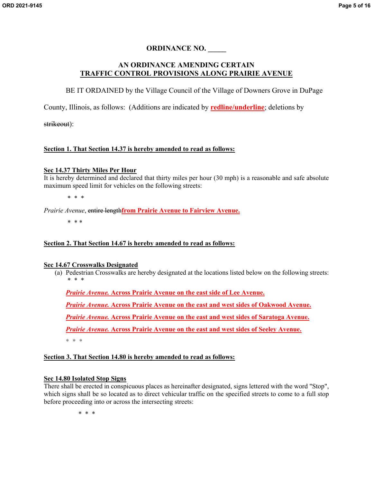#### **ORDINANCE NO. \_\_\_\_\_**

#### **AN ORDINANCE AMENDING CERTAIN TRAFFIC CONTROL PROVISIONS ALONG PRAIRIE AVENUE**

BE IT ORDAINED by the Village Council of the Village of Downers Grove in DuPage

County, Illinois, as follows: (Additions are indicated by **redline/underline**; deletions by

strikeout):

#### **Section 1. That Section 14.37 is hereby amended to read as follows:**

#### **[Sec 14.37](https://downersgrove.municipalcodeonline.com/book?type=ordinances#name=Sec_14.63_Isolated_Yield_Right-Of-Way_Signs) Thirty Miles Per Hour**

It is hereby determined and declared that thirty miles per hour (30 mph) is a reasonable and safe absolute maximum speed limit for vehicles on the following streets:

\* \* \*

*Prairie Avenue*, entire length**from Prairie Avenue to Fairview Avenue.**

\* \* \*

#### **Section 2. That Section 14.67 is hereby amended to read as follows:**

#### **[Sec 14.67](https://downersgrove.municipalcodeonline.com/book?type=ordinances#name=Sec_14.63_Isolated_Yield_Right-Of-Way_Signs) Crosswalks Designated**

(a) Pedestrian Crosswalks are hereby designated at the locations listed below on the following streets: \* \* \*

*Prairie Avenue.* **Across Prairie Avenue on the east side of Lee Avenue.**

*Prairie Avenue.* **Across Prairie Avenue on the east and west sides of Oakwood Avenue.**

*Prairie Avenue.* **Across Prairie Avenue on the east and west sides of Saratoga Avenue.**

*Prairie Avenue.* **Across Prairie Avenue on the east and west sides of Seeley Avenue.**

\* \* \*

#### **Section 3. That Section 14.80 is hereby amended to read as follows:**

#### **[Sec 14.80 Isolated Stop Signs](https://downersgrove.municipalcodeonline.com/book?type=ordinances#name=Sec_14.80_Isolated_Stop_Signs)**

There shall be erected in conspicuous places as hereinafter designated, signs lettered with the word "Stop", which signs shall be so located as to direct vehicular traffic on the specified streets to come to a full stop before proceeding into or across the intersecting streets:

\* \* \*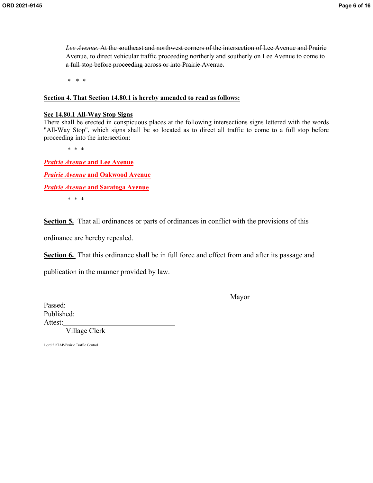*Lee Avenue.* At the southeast and northwest corners of the intersection of Lee Avenue and Prairie Avenue, to direct vehicular traffic proceeding northerly and southerly on Lee Avenue to come to a full stop before proceeding across or into Prairie Avenue.

\* \* \*

#### **Section 4. That Section 14.80.1 is hereby amended to read as follows:**

#### **[Sec 14.80.1 All-Way Stop Signs](https://downersgrove.municipalcodeonline.com/book?type=ordinances#name=Sec_14.80.1_All-Way_Stop_Signs)**

There shall be erected in conspicuous places at the following intersections signs lettered with the words "All-Way Stop", which signs shall be so located as to direct all traffic to come to a full stop before proceeding into the intersection:

\* \* \*

*Prairie Avenue* **and Lee Avenue** *Prairie Avenue* **and Oakwood Avenue** *Prairie Avenue* **and Saratoga Avenue**

\* \* \*

**Section 5.** That all ordinances or parts of ordinances in conflict with the provisions of this

ordinance are hereby repealed.

**Section 6.** That this ordinance shall be in full force and effect from and after its passage and

publication in the manner provided by law.

Mayor

Passed: Published: Attest:

Village Clerk

1\ord.21\TAP-Prairie Traffic Control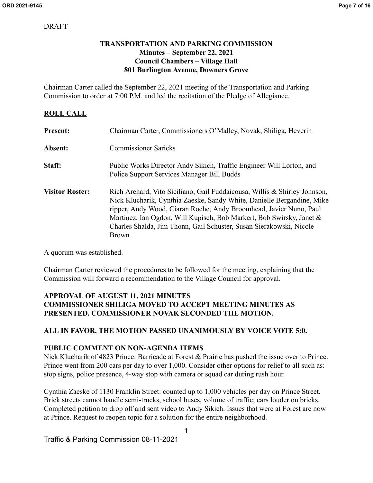## **TRANSPORTATION AND PARKING COMMISSION Minutes – September 22, 2021 Council Chambers – Village Hall 801 Burlington Avenue, Downers Grove**

Chairman Carter called the September 22, 2021 meeting of the Transportation and Parking Commission to order at 7:00 P.M. and led the recitation of the Pledge of Allegiance.

## **ROLL CALL**

| <b>Present:</b>        | Chairman Carter, Commissioners O'Malley, Novak, Shiliga, Heverin                                                                                                                                                                                                                                                                                                                  |
|------------------------|-----------------------------------------------------------------------------------------------------------------------------------------------------------------------------------------------------------------------------------------------------------------------------------------------------------------------------------------------------------------------------------|
| Absent:                | <b>Commissioner Saricks</b>                                                                                                                                                                                                                                                                                                                                                       |
| Staff:                 | Public Works Director Andy Sikich, Traffic Engineer Will Lorton, and<br>Police Support Services Manager Bill Budds                                                                                                                                                                                                                                                                |
| <b>Visitor Roster:</b> | Rich Arehard, Vito Siciliano, Gail Fuddaicousa, Willis & Shirley Johnson,<br>Nick Klucharik, Cynthia Zaeske, Sandy White, Danielle Bergandine, Mike<br>ripper, Andy Wood, Ciaran Roche, Andy Broomhead, Javier Nuno, Paul<br>Martinez, Ian Ogdon, Will Kupisch, Bob Markert, Bob Swirsky, Janet &<br>Charles Shalda, Jim Thonn, Gail Schuster, Susan Sierakowski, Nicole<br>Brown |

A quorum was established.

Chairman Carter reviewed the procedures to be followed for the meeting, explaining that the Commission will forward a recommendation to the Village Council for approval.

#### **APPROVAL OF AUGUST 11, 2021 MINUTES COMMISSIONER SHILIGA MOVED TO ACCEPT MEETING MINUTES AS PRESENTED. COMMISSIONER NOVAK SECONDED THE MOTION.**

# **ALL IN FAVOR. THE MOTION PASSED UNANIMOUSLY BY VOICE VOTE 5:0.**

#### **PUBLIC COMMENT ON NON-AGENDA ITEMS**

Nick Klucharik of 4823 Prince: Barricade at Forest & Prairie has pushed the issue over to Prince. Prince went from 200 cars per day to over 1,000. Consider other options for relief to all such as: stop signs, police presence, 4-way stop with camera or squad car during rush hour.

Cynthia Zaeske of 1130 Franklin Street: counted up to 1,000 vehicles per day on Prince Street. Brick streets cannot handle semi-trucks, school buses, volume of traffic; cars louder on bricks. Completed petition to drop off and sent video to Andy Sikich. Issues that were at Forest are now at Prince. Request to reopen topic for a solution for the entire neighborhood.

Traffic & Parking Commission 08-11-2021

1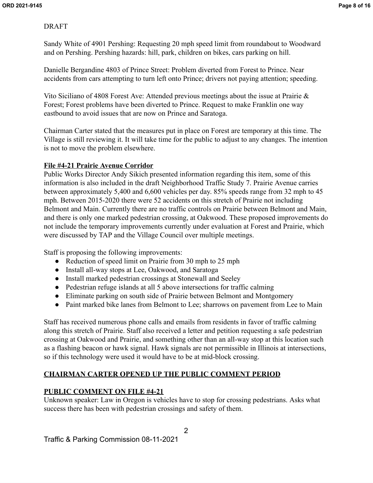Sandy White of 4901 Pershing: Requesting 20 mph speed limit from roundabout to Woodward and on Pershing. Pershing hazards: hill, park, children on bikes, cars parking on hill.

Danielle Bergandine 4803 of Prince Street: Problem diverted from Forest to Prince. Near accidents from cars attempting to turn left onto Prince; drivers not paying attention; speeding.

Vito Siciliano of 4808 Forest Ave: Attended previous meetings about the issue at Prairie & Forest; Forest problems have been diverted to Prince. Request to make Franklin one way eastbound to avoid issues that are now on Prince and Saratoga.

Chairman Carter stated that the measures put in place on Forest are temporary at this time. The Village is still reviewing it. It will take time for the public to adjust to any changes. The intention is not to move the problem elsewhere.

#### **File #4-21 Prairie Avenue Corridor**

Public Works Director Andy Sikich presented information regarding this item, some of this information is also included in the draft Neighborhood Traffic Study 7. Prairie Avenue carries between approximately 5,400 and 6,600 vehicles per day. 85% speeds range from 32 mph to 45 mph. Between 2015-2020 there were 52 accidents on this stretch of Prairie not including Belmont and Main. Currently there are no traffic controls on Prairie between Belmont and Main, and there is only one marked pedestrian crossing, at Oakwood. These proposed improvements do not include the temporary improvements currently under evaluation at Forest and Prairie, which were discussed by TAP and the Village Council over multiple meetings.

Staff is proposing the following improvements:

- Reduction of speed limit on Prairie from 30 mph to 25 mph
- Install all-way stops at Lee, Oakwood, and Saratoga
- Install marked pedestrian crossings at Stonewall and Seeley
- Pedestrian refuge islands at all 5 above intersections for traffic calming
- Eliminate parking on south side of Prairie between Belmont and Montgomery
- Paint marked bike lanes from Belmont to Lee; sharrows on pavement from Lee to Main

Staff has received numerous phone calls and emails from residents in favor of traffic calming along this stretch of Prairie. Staff also received a letter and petition requesting a safe pedestrian crossing at Oakwood and Prairie, and something other than an all-way stop at this location such as a flashing beacon or hawk signal. Hawk signals are not permissible in Illinois at intersections, so if this technology were used it would have to be at mid-block crossing.

# **CHAIRMAN CARTER OPENED UP THE PUBLIC COMMENT PERIOD**

#### **PUBLIC COMMENT ON FILE #4-21**

Unknown speaker: Law in Oregon is vehicles have to stop for crossing pedestrians. Asks what success there has been with pedestrian crossings and safety of them.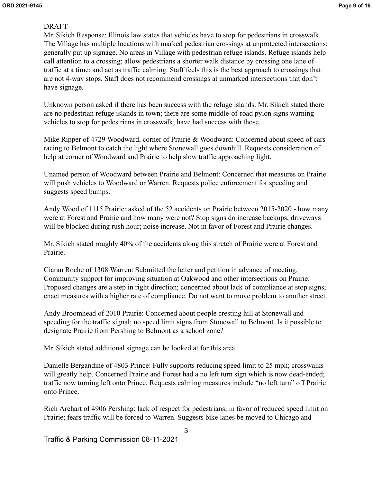Mr. Sikich Response: Illinois law states that vehicles have to stop for pedestrians in crosswalk. The Village has multiple locations with marked pedestrian crossings at unprotected intersections; generally put up signage. No areas in Village with pedestrian refuge islands. Refuge islands help call attention to a crossing; allow pedestrians a shorter walk distance by crossing one lane of traffic at a time; and act as traffic calming. Staff feels this is the best approach to crossings that are not 4-way stops. Staff does not recommend crossings at unmarked intersections that don't have signage.

Unknown person asked if there has been success with the refuge islands. Mr. Sikich stated there are no pedestrian refuge islands in town; there are some middle-of-road pylon signs warning vehicles to stop for pedestrians in crosswalk; have had success with those.

Mike Ripper of 4729 Woodward, corner of Prairie & Woodward: Concerned about speed of cars racing to Belmont to catch the light where Stonewall goes downhill. Requests consideration of help at corner of Woodward and Prairie to help slow traffic approaching light.

Unamed person of Woodward between Prairie and Belmont: Concerned that measures on Prairie will push vehicles to Woodward or Warren. Requests police enforcement for speeding and suggests speed bumps.

Andy Wood of 1115 Prairie: asked of the 52 accidents on Prairie between 2015-2020 - how many were at Forest and Prairie and how many were not? Stop signs do increase backups; driveways will be blocked during rush hour; noise increase. Not in favor of Forest and Prairie changes.

Mr. Sikich stated roughly 40% of the accidents along this stretch of Prairie were at Forest and Prairie.

Ciaran Roche of 1308 Warren: Submitted the letter and petition in advance of meeting. Community support for improving situation at Oakwood and other intersections on Prairie. Proposed changes are a step in right direction; concerned about lack of compliance at stop signs; enact measures with a higher rate of compliance. Do not want to move problem to another street.

Andy Broomhead of 2010 Prairie: Concerned about people cresting hill at Stonewall and speeding for the traffic signal; no speed limit signs from Stonewall to Belmont. Is it possible to designate Prairie from Pershing to Belmont as a school zone?

Mr. Sikich stated additional signage can be looked at for this area.

Danielle Bergandine of 4803 Prince: Fully supports reducing speed limit to 25 mph; crosswalks will greatly help. Concerned Prairie and Forest had a no left turn sign which is now dead-ended; traffic now turning left onto Prince. Requests calming measures include "no left turn" off Prairie onto Prince.

Rich Arehart of 4906 Pershing: lack of respect for pedestrians; in favor of reduced speed limit on Prairie; fears traffic will be forced to Warren. Suggests bike lanes be moved to Chicago and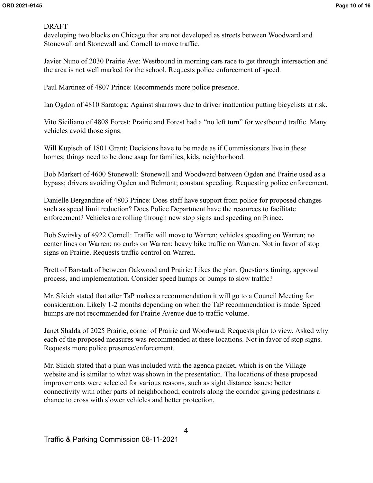developing two blocks on Chicago that are not developed as streets between Woodward and Stonewall and Stonewall and Cornell to move traffic.

Javier Nuno of 2030 Prairie Ave: Westbound in morning cars race to get through intersection and the area is not well marked for the school. Requests police enforcement of speed.

Paul Martinez of 4807 Prince: Recommends more police presence.

Ian Ogdon of 4810 Saratoga: Against sharrows due to driver inattention putting bicyclists at risk.

Vito Siciliano of 4808 Forest: Prairie and Forest had a "no left turn" for westbound traffic. Many vehicles avoid those signs.

Will Kupisch of 1801 Grant: Decisions have to be made as if Commissioners live in these homes; things need to be done asap for families, kids, neighborhood.

Bob Markert of 4600 Stonewall: Stonewall and Woodward between Ogden and Prairie used as a bypass; drivers avoiding Ogden and Belmont; constant speeding. Requesting police enforcement.

Danielle Bergandine of 4803 Prince: Does staff have support from police for proposed changes such as speed limit reduction? Does Police Department have the resources to facilitate enforcement? Vehicles are rolling through new stop signs and speeding on Prince.

Bob Swirsky of 4922 Cornell: Traffic will move to Warren; vehicles speeding on Warren; no center lines on Warren; no curbs on Warren; heavy bike traffic on Warren. Not in favor of stop signs on Prairie. Requests traffic control on Warren.

Brett of Barstadt of between Oakwood and Prairie: Likes the plan. Questions timing, approval process, and implementation. Consider speed humps or bumps to slow traffic?

Mr. Sikich stated that after TaP makes a recommendation it will go to a Council Meeting for consideration. Likely 1-2 months depending on when the TaP recommendation is made. Speed humps are not recommended for Prairie Avenue due to traffic volume.

Janet Shalda of 2025 Prairie, corner of Prairie and Woodward: Requests plan to view. Asked why each of the proposed measures was recommended at these locations. Not in favor of stop signs. Requests more police presence/enforcement.

Mr. Sikich stated that a plan was included with the agenda packet, which is on the Village website and is similar to what was shown in the presentation. The locations of these proposed improvements were selected for various reasons, such as sight distance issues; better connectivity with other parts of neighborhood; controls along the corridor giving pedestrians a chance to cross with slower vehicles and better protection.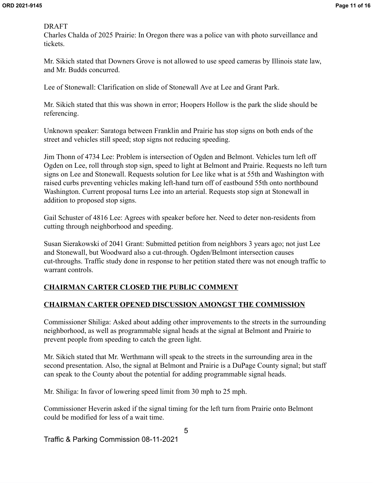Charles Chalda of 2025 Prairie: In Oregon there was a police van with photo surveillance and tickets.

Mr. Sikich stated that Downers Grove is not allowed to use speed cameras by Illinois state law, and Mr. Budds concurred.

Lee of Stonewall: Clarification on slide of Stonewall Ave at Lee and Grant Park.

Mr. Sikich stated that this was shown in error; Hoopers Hollow is the park the slide should be referencing.

Unknown speaker: Saratoga between Franklin and Prairie has stop signs on both ends of the street and vehicles still speed; stop signs not reducing speeding.

Jim Thonn of 4734 Lee: Problem is intersection of Ogden and Belmont. Vehicles turn left off Ogden on Lee, roll through stop sign, speed to light at Belmont and Prairie. Requests no left turn signs on Lee and Stonewall. Requests solution for Lee like what is at 55th and Washington with raised curbs preventing vehicles making left-hand turn off of eastbound 55th onto northbound Washington. Current proposal turns Lee into an arterial. Requests stop sign at Stonewall in addition to proposed stop signs.

Gail Schuster of 4816 Lee: Agrees with speaker before her. Need to deter non-residents from cutting through neighborhood and speeding.

Susan Sierakowski of 2041 Grant: Submitted petition from neighbors 3 years ago; not just Lee and Stonewall, but Woodward also a cut-through. Ogden/Belmont intersection causes cut-throughs. Traffic study done in response to her petition stated there was not enough traffic to warrant controls.

# **CHAIRMAN CARTER CLOSED THE PUBLIC COMMENT**

# **CHAIRMAN CARTER OPENED DISCUSSION AMONGST THE COMMISSION**

Commissioner Shiliga: Asked about adding other improvements to the streets in the surrounding neighborhood, as well as programmable signal heads at the signal at Belmont and Prairie to prevent people from speeding to catch the green light.

Mr. Sikich stated that Mr. Werthmann will speak to the streets in the surrounding area in the second presentation. Also, the signal at Belmont and Prairie is a DuPage County signal; but staff can speak to the County about the potential for adding programmable signal heads.

Mr. Shiliga: In favor of lowering speed limit from 30 mph to 25 mph.

Commissioner Heverin asked if the signal timing for the left turn from Prairie onto Belmont could be modified for less of a wait time.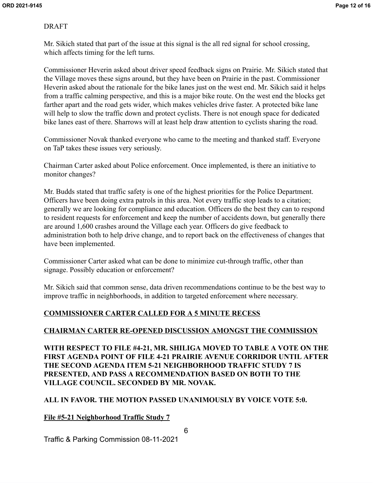Mr. Sikich stated that part of the issue at this signal is the all red signal for school crossing, which affects timing for the left turns.

Commissioner Heverin asked about driver speed feedback signs on Prairie. Mr. Sikich stated that the Village moves these signs around, but they have been on Prairie in the past. Commissioner Heverin asked about the rationale for the bike lanes just on the west end. Mr. Sikich said it helps from a traffic calming perspective, and this is a major bike route. On the west end the blocks get farther apart and the road gets wider, which makes vehicles drive faster. A protected bike lane will help to slow the traffic down and protect cyclists. There is not enough space for dedicated bike lanes east of there. Sharrows will at least help draw attention to cyclists sharing the road.

Commissioner Novak thanked everyone who came to the meeting and thanked staff. Everyone on TaP takes these issues very seriously.

Chairman Carter asked about Police enforcement. Once implemented, is there an initiative to monitor changes?

Mr. Budds stated that traffic safety is one of the highest priorities for the Police Department. Officers have been doing extra patrols in this area. Not every traffic stop leads to a citation; generally we are looking for compliance and education. Officers do the best they can to respond to resident requests for enforcement and keep the number of accidents down, but generally there are around 1,600 crashes around the Village each year. Officers do give feedback to administration both to help drive change, and to report back on the effectiveness of changes that have been implemented.

Commissioner Carter asked what can be done to minimize cut-through traffic, other than signage. Possibly education or enforcement?

Mr. Sikich said that common sense, data driven recommendations continue to be the best way to improve traffic in neighborhoods, in addition to targeted enforcement where necessary.

# **COMMISSIONER CARTER CALLED FOR A 5 MINUTE RECESS**

# **CHAIRMAN CARTER RE-OPENED DISCUSSION AMONGST THE COMMISSION**

**WITH RESPECT TO FILE #4-21, MR. SHILIGA MOVED TO TABLE A VOTE ON THE FIRST AGENDA POINT OF FILE 4-21 PRAIRIE AVENUE CORRIDOR UNTIL AFTER THE SECOND AGENDA ITEM 5-21 NEIGHBORHOOD TRAFFIC STUDY 7 IS PRESENTED, AND PASS A RECOMMENDATION BASED ON BOTH TO THE VILLAGE COUNCIL. SECONDED BY MR. NOVAK.**

# **ALL IN FAVOR. THE MOTION PASSED UNANIMOUSLY BY VOICE VOTE 5:0.**

# **File #5-21 Neighborhood Traffic Study 7**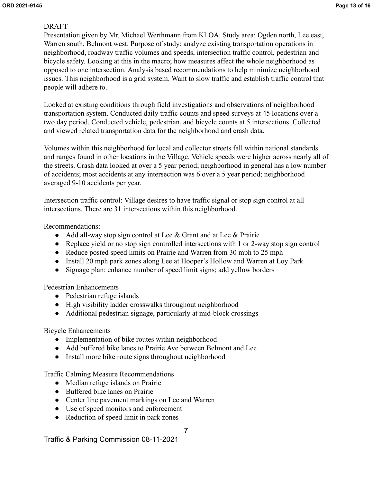Presentation given by Mr. Michael Werthmann from KLOA. Study area: Ogden north, Lee east, Warren south, Belmont west. Purpose of study: analyze existing transportation operations in neighborhood, roadway traffic volumes and speeds, intersection traffic control, pedestrian and bicycle safety. Looking at this in the macro; how measures affect the whole neighborhood as opposed to one intersection. Analysis based recommendations to help minimize neighborhood issues. This neighborhood is a grid system. Want to slow traffic and establish traffic control that people will adhere to.

Looked at existing conditions through field investigations and observations of neighborhood transportation system. Conducted daily traffic counts and speed surveys at 45 locations over a two day period. Conducted vehicle, pedestrian, and bicycle counts at 5 intersections. Collected and viewed related transportation data for the neighborhood and crash data.

Volumes within this neighborhood for local and collector streets fall within national standards and ranges found in other locations in the Village. Vehicle speeds were higher across nearly all of the streets. Crash data looked at over a 5 year period; neighborhood in general has a low number of accidents; most accidents at any intersection was 6 over a 5 year period; neighborhood averaged 9-10 accidents per year.

Intersection traffic control: Village desires to have traffic signal or stop sign control at all intersections. There are 31 intersections within this neighborhood.

Recommendations:

- Add all-way stop sign control at Lee & Grant and at Lee & Prairie
- Replace yield or no stop sign controlled intersections with 1 or 2-way stop sign control
- Reduce posted speed limits on Prairie and Warren from 30 mph to 25 mph
- Install 20 mph park zones along Lee at Hooper's Hollow and Warren at Loy Park
- Signage plan: enhance number of speed limit signs; add yellow borders

Pedestrian Enhancements

- Pedestrian refuge islands
- High visibility ladder crosswalks throughout neighborhood
- Additional pedestrian signage, particularly at mid-block crossings

Bicycle Enhancements

- Implementation of bike routes within neighborhood
- Add buffered bike lanes to Prairie Ave between Belmont and Lee
- Install more bike route signs throughout neighborhood

Traffic Calming Measure Recommendations

- Median refuge islands on Prairie
- Buffered bike lanes on Prairie
- Center line pavement markings on Lee and Warren
- Use of speed monitors and enforcement
- Reduction of speed limit in park zones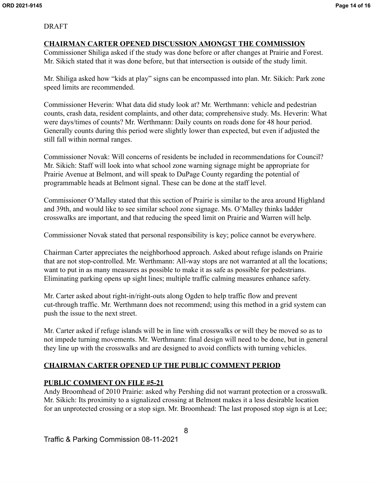#### **CHAIRMAN CARTER OPENED DISCUSSION AMONGST THE COMMISSION**

Commissioner Shiliga asked if the study was done before or after changes at Prairie and Forest. Mr. Sikich stated that it was done before, but that intersection is outside of the study limit.

Mr. Shiliga asked how "kids at play" signs can be encompassed into plan. Mr. Sikich: Park zone speed limits are recommended.

Commissioner Heverin: What data did study look at? Mr. Werthmann: vehicle and pedestrian counts, crash data, resident complaints, and other data; comprehensive study. Ms. Heverin: What were days/times of counts? Mr. Werthmann: Daily counts on roads done for 48 hour period. Generally counts during this period were slightly lower than expected, but even if adjusted the still fall within normal ranges.

Commissioner Novak: Will concerns of residents be included in recommendations for Council? Mr. Sikich: Staff will look into what school zone warning signage might be appropriate for Prairie Avenue at Belmont, and will speak to DuPage County regarding the potential of programmable heads at Belmont signal. These can be done at the staff level.

Commissioner O'Malley stated that this section of Prairie is similar to the area around Highland and 39th, and would like to see similar school zone signage. Ms. O'Malley thinks ladder crosswalks are important, and that reducing the speed limit on Prairie and Warren will help.

Commissioner Novak stated that personal responsibility is key; police cannot be everywhere.

Chairman Carter appreciates the neighborhood approach. Asked about refuge islands on Prairie that are not stop-controlled. Mr. Werthmann: All-way stops are not warranted at all the locations; want to put in as many measures as possible to make it as safe as possible for pedestrians. Eliminating parking opens up sight lines; multiple traffic calming measures enhance safety.

Mr. Carter asked about right-in/right-outs along Ogden to help traffic flow and prevent cut-through traffic. Mr. Werthmann does not recommend; using this method in a grid system can push the issue to the next street.

Mr. Carter asked if refuge islands will be in line with crosswalks or will they be moved so as to not impede turning movements. Mr. Werthmann: final design will need to be done, but in general they line up with the crosswalks and are designed to avoid conflicts with turning vehicles.

# **CHAIRMAN CARTER OPENED UP THE PUBLIC COMMENT PERIOD**

#### **PUBLIC COMMENT ON FILE #5-21**

Andy Broomhead of 2010 Prairie: asked why Pershing did not warrant protection or a crosswalk. Mr. Sikich: Its proximity to a signalized crossing at Belmont makes it a less desirable location for an unprotected crossing or a stop sign. Mr. Broomhead: The last proposed stop sign is at Lee;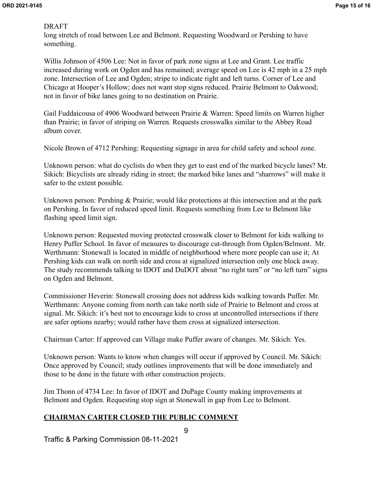long stretch of road between Lee and Belmont. Requesting Woodward or Pershing to have something.

Willis Johnson of 4506 Lee: Not in favor of park zone signs at Lee and Grant. Lee traffic increased during work on Ogden and has remained; average speed on Lee is 42 mph in a 25 mph zone. Intersection of Lee and Ogden; stripe to indicate right and left turns. Corner of Lee and Chicago at Hooper's Hollow; does not want stop signs reduced. Prairie Belmont to Oakwood; not in favor of bike lanes going to no destination on Prairie.

Gail Fuddaicousa of 4906 Woodward between Prairie & Warren: Speed limits on Warren higher than Prairie; in favor of striping on Warren. Requests crosswalks similar to the Abbey Road album cover.

Nicole Brown of 4712 Pershing: Requesting signage in area for child safety and school zone.

Unknown person: what do cyclists do when they get to east end of the marked bicycle lanes? Mr. Sikich: Bicyclists are already riding in street; the marked bike lanes and "sharrows" will make it safer to the extent possible.

Unknown person: Pershing & Prairie; would like protections at this intersection and at the park on Pershing. In favor of reduced speed limit. Requests something from Lee to Belmont like flashing speed limit sign.

Unknown person: Requested moving protected crosswalk closer to Belmont for kids walking to Henry Puffer School. In favor of measures to discourage cut-through from Ogden/Belmont. Mr. Werthmann: Stonewall is located in middle of neighborhood where more people can use it; At Pershing kids can walk on north side and cross at signalized intersection only one block away. The study recommends talking to IDOT and DuDOT about "no right turn" or "no left turn" signs on Ogden and Belmont.

Commissioner Heverin: Stonewall crossing does not address kids walking towards Puffer. Mr. Werthmann: Anyone coming from north can take north side of Prairie to Belmont and cross at signal. Mr. Sikich: it's best not to encourage kids to cross at uncontrolled intersections if there are safer options nearby; would rather have them cross at signalized intersection.

Chairman Carter: If approved can Village make Puffer aware of changes. Mr. Sikich: Yes.

Unknown person: Wants to know when changes will occur if approved by Council. Mr. Sikich: Once approved by Council; study outlines improvements that will be done immediately and those to be done in the future with other construction projects.

Jim Thonn of 4734 Lee: In favor of IDOT and DuPage County making improvements at Belmont and Ogden. Requesting stop sign at Stonewall in gap from Lee to Belmont.

# **CHAIRMAN CARTER CLOSED THE PUBLIC COMMENT**

Traffic & Parking Commission 08-11-2021

9